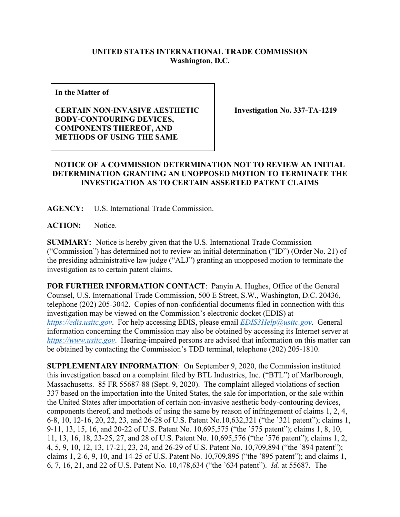## **UNITED STATES INTERNATIONAL TRADE COMMISSION Washington, D.C.**

**In the Matter of** 

## **CERTAIN NON-INVASIVE AESTHETIC BODY-CONTOURING DEVICES, COMPONENTS THEREOF, AND METHODS OF USING THE SAME**

**Investigation No. 337-TA-1219**

## **NOTICE OF A COMMISSION DETERMINATION NOT TO REVIEW AN INITIAL DETERMINATION GRANTING AN UNOPPOSED MOTION TO TERMINATE THE INVESTIGATION AS TO CERTAIN ASSERTED PATENT CLAIMS**

**AGENCY:** U.S. International Trade Commission.

**ACTION:** Notice.

**SUMMARY:** Notice is hereby given that the U.S. International Trade Commission ("Commission") has determined not to review an initial determination ("ID") (Order No. 21) of the presiding administrative law judge ("ALJ") granting an unopposed motion to terminate the investigation as to certain patent claims.

**FOR FURTHER INFORMATION CONTACT**: Panyin A. Hughes, Office of the General Counsel, U.S. International Trade Commission, 500 E Street, S.W., Washington, D.C. 20436, telephone (202) 205-3042. Copies of non-confidential documents filed in connection with this investigation may be viewed on the Commission's electronic docket (EDIS) at *[https://edis.usitc.gov](https://edis.usitc.gov/)*. For help accessing EDIS, please email *[EDIS3Help@usitc.gov](mailto:EDIS3Help@usitc.gov)*. General information concerning the Commission may also be obtained by accessing its Internet server at *[https://www.usitc.gov](https://www.usitc.gov/)*. Hearing-impaired persons are advised that information on this matter can be obtained by contacting the Commission's TDD terminal, telephone (202) 205-1810.

**SUPPLEMENTARY INFORMATION**: On September 9, 2020, the Commission instituted this investigation based on a complaint filed by BTL Industries, Inc. ("BTL") of Marlborough, Massachusetts. 85 FR 55687-88 (Sept. 9, 2020). The complaint alleged violations of section 337 based on the importation into the United States, the sale for importation, or the sale within the United States after importation of certain non-invasive aesthetic body-contouring devices, components thereof, and methods of using the same by reason of infringement of claims 1, 2, 4, 6-8, 10, 12-16, 20, 22, 23, and 26-28 of U.S. Patent No.10,632,321 ("the '321 patent"); claims 1, 9-11, 13, 15, 16, and 20-22 of U.S. Patent No. 10,695,575 ("the '575 patent"); claims 1, 8, 10, 11, 13, 16, 18, 23-25, 27, and 28 of U.S. Patent No. 10,695,576 ("the '576 patent"); claims 1, 2, 4, 5, 9, 10, 12, 13, 17-21, 23, 24, and 26-29 of U.S. Patent No. 10,709,894 ("the '894 patent"); claims 1, 2-6, 9, 10, and 14-25 of U.S. Patent No. 10,709,895 ("the '895 patent"); and claims 1, 6, 7, 16, 21, and 22 of U.S. Patent No. 10,478,634 ("the '634 patent"). *Id.* at 55687. The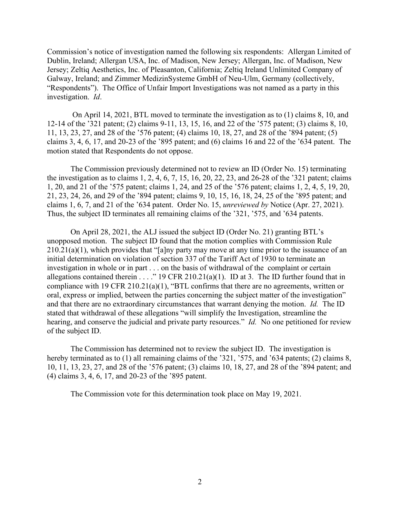Commission's notice of investigation named the following six respondents: Allergan Limited of Dublin, Ireland; Allergan USA, Inc. of Madison, New Jersey; Allergan, Inc. of Madison, New Jersey; Zeltiq Aesthetics, Inc. of Pleasanton, California; Zeltiq Ireland Unlimited Company of Galway, Ireland; and Zimmer MedizinSysteme GmbH of Neu-Ulm, Germany (collectively, "Respondents"). The Office of Unfair Import Investigations was not named as a party in this investigation. *Id*.

On April 14, 2021, BTL moved to terminate the investigation as to (1) claims 8, 10, and 12-14 of the '321 patent; (2) claims 9-11, 13, 15, 16, and 22 of the '575 patent; (3) claims 8, 10, 11, 13, 23, 27, and 28 of the '576 patent; (4) claims 10, 18, 27, and 28 of the '894 patent; (5) claims 3, 4, 6, 17, and 20-23 of the '895 patent; and (6) claims 16 and 22 of the '634 patent. The motion stated that Respondents do not oppose.

The Commission previously determined not to review an ID (Order No. 15) terminating the investigation as to claims 1, 2, 4, 6, 7, 15, 16, 20, 22, 23, and 26-28 of the '321 patent; claims 1, 20, and 21 of the '575 patent; claims 1, 24, and 25 of the '576 patent; claims 1, 2, 4, 5, 19, 20, 21, 23, 24, 26, and 29 of the '894 patent; claims 9, 10, 15, 16, 18, 24, 25 of the '895 patent; and claims 1, 6, 7, and 21 of the '634 patent. Order No. 15, *unreviewed by* Notice (Apr. 27, 2021). Thus, the subject ID terminates all remaining claims of the '321, '575, and '634 patents.

On April 28, 2021, the ALJ issued the subject ID (Order No. 21) granting BTL's unopposed motion. The subject ID found that the motion complies with Commission Rule 210.21(a)(1), which provides that "[a]ny party may move at any time prior to the issuance of an initial determination on violation of section 337 of the Tariff Act of 1930 to terminate an investigation in whole or in part . . . on the basis of withdrawal of the complaint or certain allegations contained therein . . . ." 19 CFR 210.21(a)(1). ID at 3. The ID further found that in compliance with 19 CFR 210.21(a)(1), "BTL confirms that there are no agreements, written or oral, express or implied, between the parties concerning the subject matter of the investigation" and that there are no extraordinary circumstances that warrant denying the motion. *Id.* The ID stated that withdrawal of these allegations "will simplify the Investigation, streamline the hearing, and conserve the judicial and private party resources." *Id.* No one petitioned for review of the subject ID.

The Commission has determined not to review the subject ID. The investigation is hereby terminated as to (1) all remaining claims of the '321, '575, and '634 patents; (2) claims 8, 10, 11, 13, 23, 27, and 28 of the '576 patent; (3) claims 10, 18, 27, and 28 of the '894 patent; and (4) claims 3, 4, 6, 17, and 20-23 of the '895 patent.

The Commission vote for this determination took place on May 19, 2021.